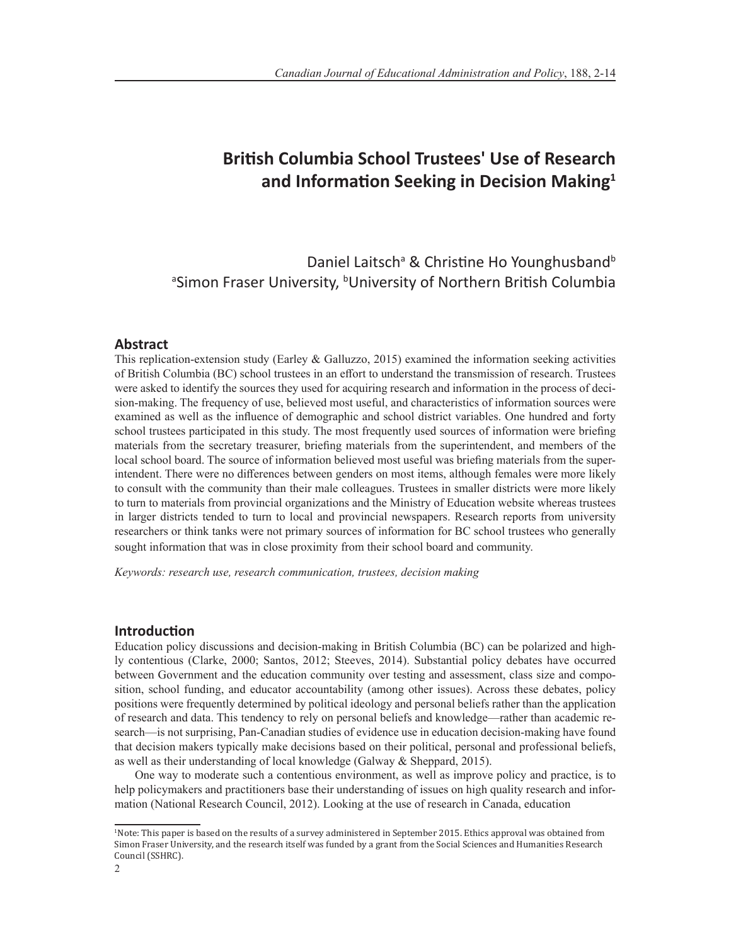# **British Columbia School Trustees' Use of Research and Information Seeking in Decision Making<sup>1</sup>**

Daniel Laitsch<sup>a</sup> & Christine Ho Younghusband<sup>b</sup> <sup>a</sup>Simon Fraser University, <sup>b</sup>University of Northern British Columbia

# **Abstract**

This replication-extension study (Earley & Galluzzo, 2015) examined the information seeking activities of British Columbia (BC) school trustees in an effort to understand the transmission of research. Trustees were asked to identify the sources they used for acquiring research and information in the process of decision-making. The frequency of use, believed most useful, and characteristics of information sources were examined as well as the influence of demographic and school district variables. One hundred and forty school trustees participated in this study. The most frequently used sources of information were briefing materials from the secretary treasurer, briefing materials from the superintendent, and members of the local school board. The source of information believed most useful was briefing materials from the superintendent. There were no differences between genders on most items, although females were more likely to consult with the community than their male colleagues. Trustees in smaller districts were more likely to turn to materials from provincial organizations and the Ministry of Education website whereas trustees in larger districts tended to turn to local and provincial newspapers. Research reports from university researchers or think tanks were not primary sources of information for BC school trustees who generally sought information that was in close proximity from their school board and community.

*Keywords: research use, research communication, trustees, decision making*

### **Introduction**

Education policy discussions and decision-making in British Columbia (BC) can be polarized and highly contentious (Clarke, 2000; Santos, 2012; Steeves, 2014). Substantial policy debates have occurred between Government and the education community over testing and assessment, class size and composition, school funding, and educator accountability (among other issues). Across these debates, policy positions were frequently determined by political ideology and personal beliefs rather than the application of research and data. This tendency to rely on personal beliefs and knowledge—rather than academic research—is not surprising, Pan-Canadian studies of evidence use in education decision-making have found that decision makers typically make decisions based on their political, personal and professional beliefs, as well as their understanding of local knowledge (Galway & Sheppard, 2015).

One way to moderate such a contentious environment, as well as improve policy and practice, is to help policymakers and practitioners base their understanding of issues on high quality research and information (National Research Council, 2012). Looking at the use of research in Canada, education

<sup>1</sup> Note: This paper is based on the results of a survey administered in September 2015. Ethics approval was obtained from Simon Fraser University, and the research itself was funded by a grant from the Social Sciences and Humanities Research Council (SSHRC).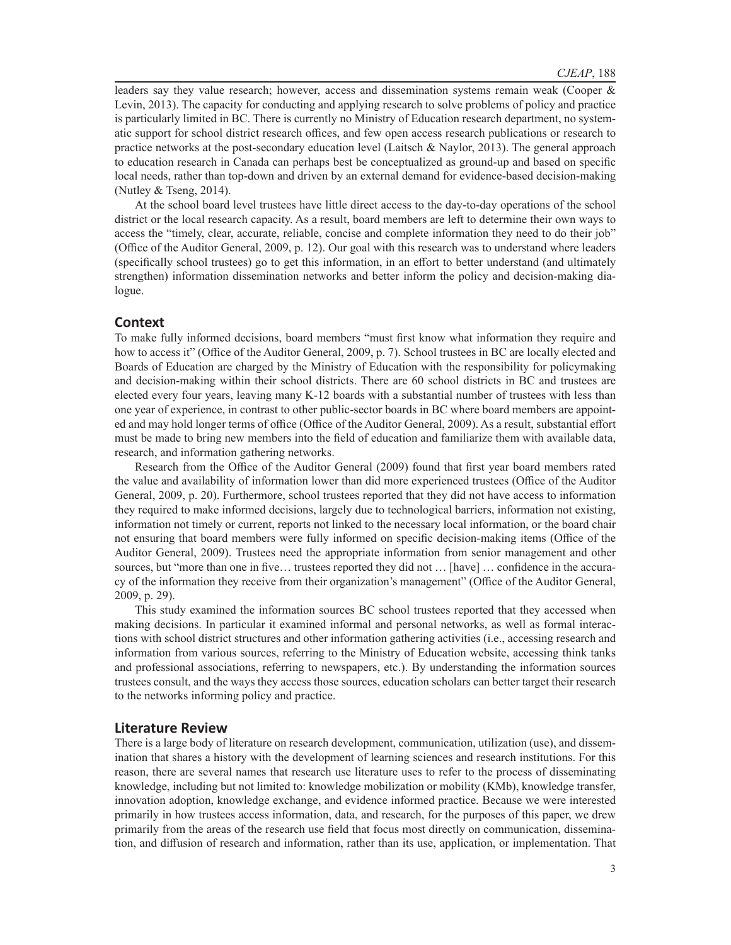leaders say they value research; however, access and dissemination systems remain weak (Cooper & Levin, 2013). The capacity for conducting and applying research to solve problems of policy and practice is particularly limited in BC. There is currently no Ministry of Education research department, no systematic support for school district research offices, and few open access research publications or research to practice networks at the post-secondary education level (Laitsch & Naylor, 2013). The general approach to education research in Canada can perhaps best be conceptualized as ground-up and based on specific local needs, rather than top-down and driven by an external demand for evidence-based decision-making (Nutley & Tseng, 2014).

At the school board level trustees have little direct access to the day-to-day operations of the school district or the local research capacity. As a result, board members are left to determine their own ways to access the "timely, clear, accurate, reliable, concise and complete information they need to do their job" (Office of the Auditor General, 2009, p. 12). Our goal with this research was to understand where leaders (specifically school trustees) go to get this information, in an effort to better understand (and ultimately strengthen) information dissemination networks and better inform the policy and decision-making dialogue.

# **Context**

To make fully informed decisions, board members "must first know what information they require and how to access it" (Office of the Auditor General, 2009, p. 7). School trustees in BC are locally elected and Boards of Education are charged by the Ministry of Education with the responsibility for policymaking and decision-making within their school districts. There are 60 school districts in BC and trustees are elected every four years, leaving many K-12 boards with a substantial number of trustees with less than one year of experience, in contrast to other public-sector boards in BC where board members are appointed and may hold longer terms of office (Office of the Auditor General, 2009). As a result, substantial effort must be made to bring new members into the field of education and familiarize them with available data, research, and information gathering networks.

Research from the Office of the Auditor General (2009) found that first year board members rated the value and availability of information lower than did more experienced trustees (Office of the Auditor General, 2009, p. 20). Furthermore, school trustees reported that they did not have access to information they required to make informed decisions, largely due to technological barriers, information not existing, information not timely or current, reports not linked to the necessary local information, or the board chair not ensuring that board members were fully informed on specific decision-making items (Office of the Auditor General, 2009). Trustees need the appropriate information from senior management and other sources, but "more than one in five… trustees reported they did not … [have] … confidence in the accuracy of the information they receive from their organization's management" (Office of the Auditor General, 2009, p. 29).

This study examined the information sources BC school trustees reported that they accessed when making decisions. In particular it examined informal and personal networks, as well as formal interactions with school district structures and other information gathering activities (i.e., accessing research and information from various sources, referring to the Ministry of Education website, accessing think tanks and professional associations, referring to newspapers, etc.). By understanding the information sources trustees consult, and the ways they access those sources, education scholars can better target their research to the networks informing policy and practice.

### **Literature Review**

There is a large body of literature on research development, communication, utilization (use), and dissemination that shares a history with the development of learning sciences and research institutions. For this reason, there are several names that research use literature uses to refer to the process of disseminating knowledge, including but not limited to: knowledge mobilization or mobility (KMb), knowledge transfer, innovation adoption, knowledge exchange, and evidence informed practice. Because we were interested primarily in how trustees access information, data, and research, for the purposes of this paper, we drew primarily from the areas of the research use field that focus most directly on communication, dissemination, and diffusion of research and information, rather than its use, application, or implementation. That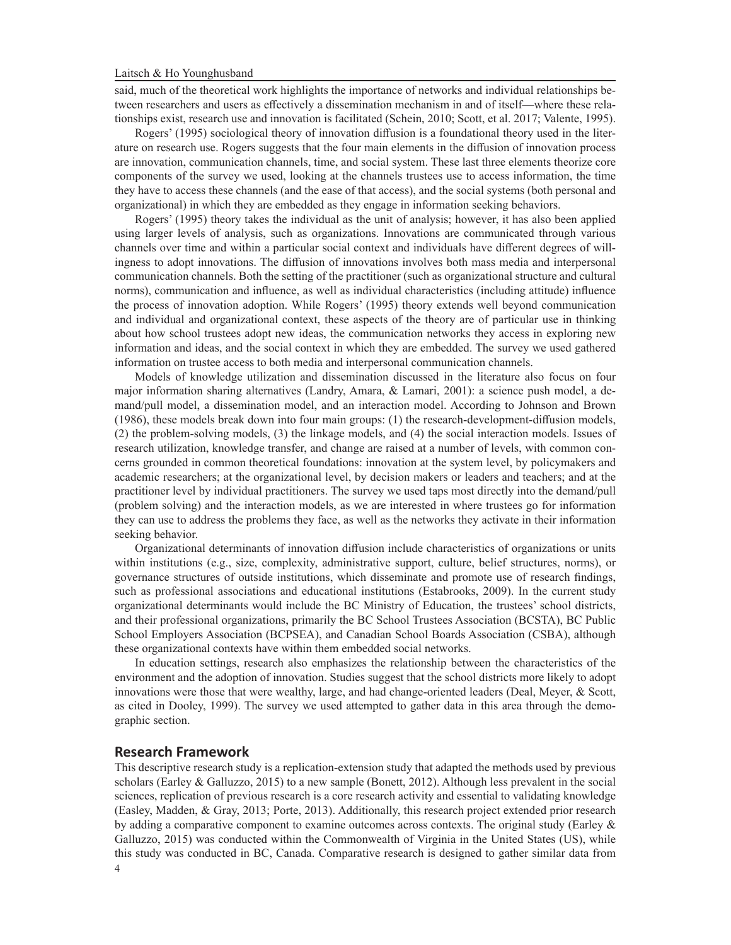said, much of the theoretical work highlights the importance of networks and individual relationships between researchers and users as effectively a dissemination mechanism in and of itself—where these relationships exist, research use and innovation is facilitated (Schein, 2010; Scott, et al. 2017; Valente, 1995).

Rogers' (1995) sociological theory of innovation diffusion is a foundational theory used in the literature on research use. Rogers suggests that the four main elements in the diffusion of innovation process are innovation, communication channels, time, and social system. These last three elements theorize core components of the survey we used, looking at the channels trustees use to access information, the time they have to access these channels (and the ease of that access), and the social systems (both personal and organizational) in which they are embedded as they engage in information seeking behaviors.

Rogers' (1995) theory takes the individual as the unit of analysis; however, it has also been applied using larger levels of analysis, such as organizations. Innovations are communicated through various channels over time and within a particular social context and individuals have different degrees of willingness to adopt innovations. The diffusion of innovations involves both mass media and interpersonal communication channels. Both the setting of the practitioner (such as organizational structure and cultural norms), communication and influence, as well as individual characteristics (including attitude) influence the process of innovation adoption. While Rogers' (1995) theory extends well beyond communication and individual and organizational context, these aspects of the theory are of particular use in thinking about how school trustees adopt new ideas, the communication networks they access in exploring new information and ideas, and the social context in which they are embedded. The survey we used gathered information on trustee access to both media and interpersonal communication channels.

Models of knowledge utilization and dissemination discussed in the literature also focus on four major information sharing alternatives (Landry, Amara, & Lamari, 2001): a science push model, a demand/pull model, a dissemination model, and an interaction model. According to Johnson and Brown (1986), these models break down into four main groups: (1) the research-development-diffusion models, (2) the problem-solving models, (3) the linkage models, and (4) the social interaction models. Issues of research utilization, knowledge transfer, and change are raised at a number of levels, with common concerns grounded in common theoretical foundations: innovation at the system level, by policymakers and academic researchers; at the organizational level, by decision makers or leaders and teachers; and at the practitioner level by individual practitioners. The survey we used taps most directly into the demand/pull (problem solving) and the interaction models, as we are interested in where trustees go for information they can use to address the problems they face, as well as the networks they activate in their information seeking behavior.

Organizational determinants of innovation diffusion include characteristics of organizations or units within institutions (e.g., size, complexity, administrative support, culture, belief structures, norms), or governance structures of outside institutions, which disseminate and promote use of research findings, such as professional associations and educational institutions (Estabrooks, 2009). In the current study organizational determinants would include the BC Ministry of Education, the trustees' school districts, and their professional organizations, primarily the BC School Trustees Association (BCSTA), BC Public School Employers Association (BCPSEA), and Canadian School Boards Association (CSBA), although these organizational contexts have within them embedded social networks.

In education settings, research also emphasizes the relationship between the characteristics of the environment and the adoption of innovation. Studies suggest that the school districts more likely to adopt innovations were those that were wealthy, large, and had change-oriented leaders (Deal, Meyer, & Scott, as cited in Dooley, 1999). The survey we used attempted to gather data in this area through the demographic section.

#### **Research Framework**

4 This descriptive research study is a replication-extension study that adapted the methods used by previous scholars (Earley & Galluzzo, 2015) to a new sample (Bonett, 2012). Although less prevalent in the social sciences, replication of previous research is a core research activity and essential to validating knowledge (Easley, Madden, & Gray, 2013; Porte, 2013). Additionally, this research project extended prior research by adding a comparative component to examine outcomes across contexts. The original study (Earley & Galluzzo, 2015) was conducted within the Commonwealth of Virginia in the United States (US), while this study was conducted in BC, Canada. Comparative research is designed to gather similar data from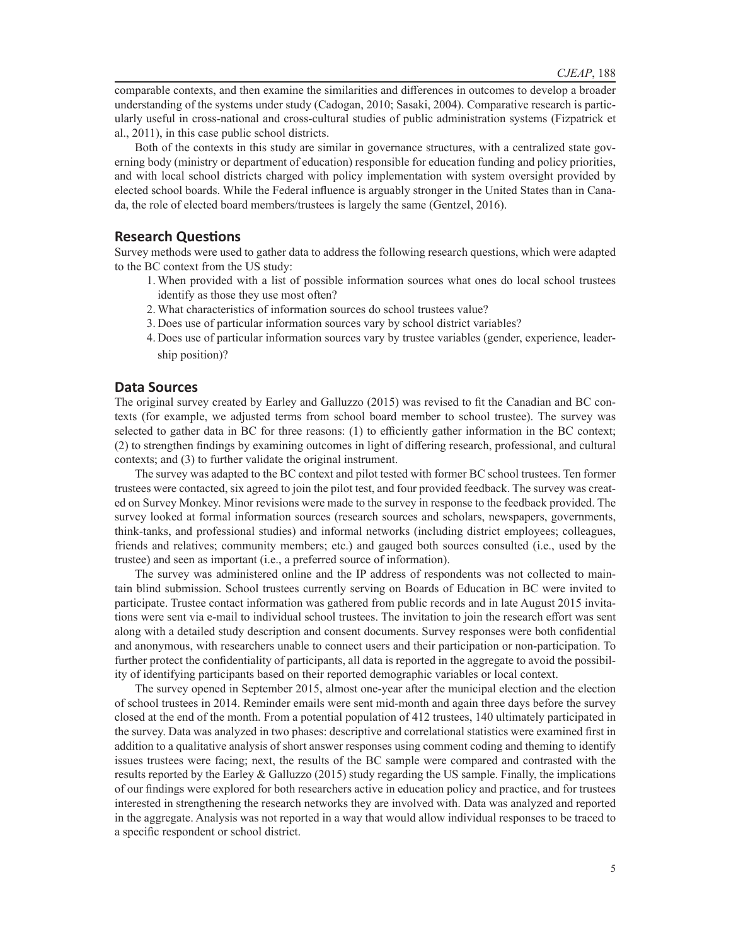comparable contexts, and then examine the similarities and differences in outcomes to develop a broader understanding of the systems under study (Cadogan, 2010; Sasaki, 2004). Comparative research is particularly useful in cross-national and cross-cultural studies of public administration systems (Fizpatrick et al., 2011), in this case public school districts.

Both of the contexts in this study are similar in governance structures, with a centralized state governing body (ministry or department of education) responsible for education funding and policy priorities, and with local school districts charged with policy implementation with system oversight provided by elected school boards. While the Federal influence is arguably stronger in the United States than in Canada, the role of elected board members/trustees is largely the same (Gentzel, 2016).

### **Research Questions**

Survey methods were used to gather data to address the following research questions, which were adapted to the BC context from the US study:

- 1.When provided with a list of possible information sources what ones do local school trustees identify as those they use most often?
- 2.What characteristics of information sources do school trustees value?
- 3. Does use of particular information sources vary by school district variables?
- 4. Does use of particular information sources vary by trustee variables (gender, experience, leadership position)?

### **Data Sources**

The original survey created by Earley and Galluzzo (2015) was revised to fit the Canadian and BC contexts (for example, we adjusted terms from school board member to school trustee). The survey was selected to gather data in BC for three reasons: (1) to efficiently gather information in the BC context; (2) to strengthen findings by examining outcomes in light of differing research, professional, and cultural contexts; and (3) to further validate the original instrument.

The survey was adapted to the BC context and pilot tested with former BC school trustees. Ten former trustees were contacted, six agreed to join the pilot test, and four provided feedback. The survey was created on Survey Monkey. Minor revisions were made to the survey in response to the feedback provided. The survey looked at formal information sources (research sources and scholars, newspapers, governments, think-tanks, and professional studies) and informal networks (including district employees; colleagues, friends and relatives; community members; etc.) and gauged both sources consulted (i.e., used by the trustee) and seen as important (i.e., a preferred source of information).

The survey was administered online and the IP address of respondents was not collected to maintain blind submission. School trustees currently serving on Boards of Education in BC were invited to participate. Trustee contact information was gathered from public records and in late August 2015 invitations were sent via e-mail to individual school trustees. The invitation to join the research effort was sent along with a detailed study description and consent documents. Survey responses were both confidential and anonymous, with researchers unable to connect users and their participation or non-participation. To further protect the confidentiality of participants, all data is reported in the aggregate to avoid the possibility of identifying participants based on their reported demographic variables or local context.

The survey opened in September 2015, almost one-year after the municipal election and the election of school trustees in 2014. Reminder emails were sent mid-month and again three days before the survey closed at the end of the month. From a potential population of 412 trustees, 140 ultimately participated in the survey. Data was analyzed in two phases: descriptive and correlational statistics were examined first in addition to a qualitative analysis of short answer responses using comment coding and theming to identify issues trustees were facing; next, the results of the BC sample were compared and contrasted with the results reported by the Earley & Galluzzo (2015) study regarding the US sample. Finally, the implications of our findings were explored for both researchers active in education policy and practice, and for trustees interested in strengthening the research networks they are involved with. Data was analyzed and reported in the aggregate. Analysis was not reported in a way that would allow individual responses to be traced to a specific respondent or school district.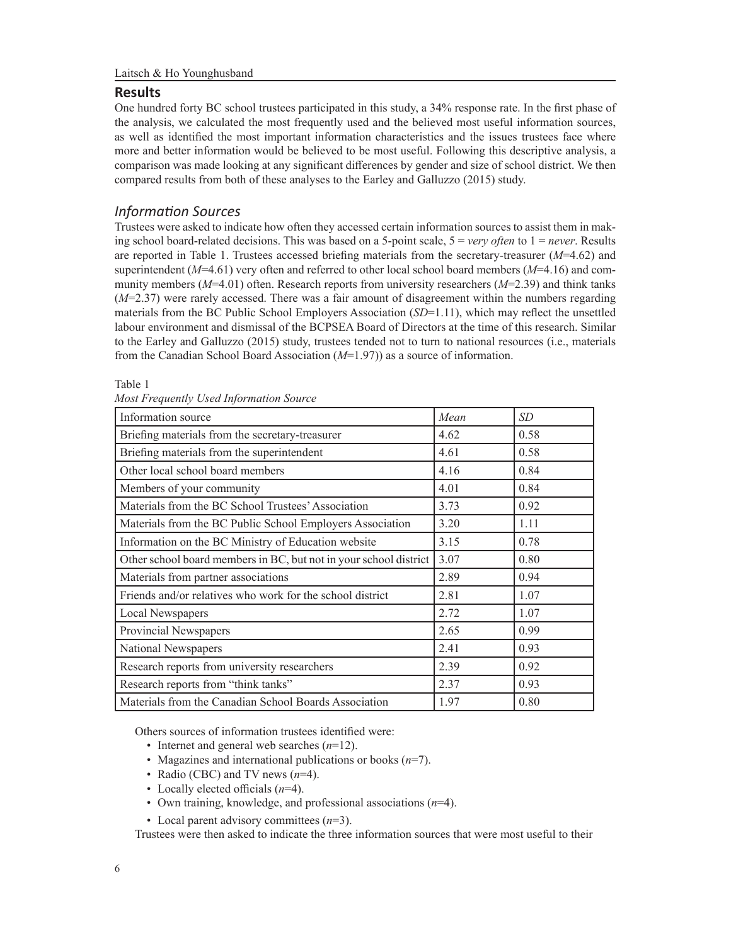# **Results**

One hundred forty BC school trustees participated in this study, a 34% response rate. In the first phase of the analysis, we calculated the most frequently used and the believed most useful information sources, as well as identified the most important information characteristics and the issues trustees face where more and better information would be believed to be most useful. Following this descriptive analysis, a comparison was made looking at any significant differences by gender and size of school district. We then compared results from both of these analyses to the Earley and Galluzzo (2015) study.

# *Information Sources*

Trustees were asked to indicate how often they accessed certain information sources to assist them in making school board-related decisions. This was based on a 5-point scale, 5 = *very often* to 1 = *never*. Results are reported in Table 1. Trustees accessed briefing materials from the secretary-treasurer (*M*=4.62) and superintendent (*M*=4.61) very often and referred to other local school board members (*M*=4.16) and community members (*M*=4.01) often. Research reports from university researchers (*M*=2.39) and think tanks (*M*=2.37) were rarely accessed. There was a fair amount of disagreement within the numbers regarding materials from the BC Public School Employers Association (*SD*=1.11), which may reflect the unsettled labour environment and dismissal of the BCPSEA Board of Directors at the time of this research. Similar to the Earley and Galluzzo (2015) study, trustees tended not to turn to national resources (i.e., materials from the Canadian School Board Association (*M*=1.97)) as a source of information.

### Table 1

| Information source                                                | Mean | SD   |
|-------------------------------------------------------------------|------|------|
| Briefing materials from the secretary-treasurer                   | 4.62 | 0.58 |
| Briefing materials from the superintendent                        | 4.61 | 0.58 |
| Other local school board members                                  | 4.16 | 0.84 |
| Members of your community                                         | 4.01 | 0.84 |
| Materials from the BC School Trustees' Association                | 3.73 | 0.92 |
| Materials from the BC Public School Employers Association         | 3.20 | 1.11 |
| Information on the BC Ministry of Education website               | 3.15 | 0.78 |
| Other school board members in BC, but not in your school district | 3.07 | 0.80 |
| Materials from partner associations                               | 2.89 | 0.94 |
| Friends and/or relatives who work for the school district         | 2.81 | 1.07 |
| Local Newspapers                                                  | 2.72 | 1.07 |
| Provincial Newspapers                                             | 2.65 | 0.99 |
| National Newspapers                                               | 2.41 | 0.93 |
| Research reports from university researchers                      | 2.39 | 0.92 |
| Research reports from "think tanks"                               | 2.37 | 0.93 |
| Materials from the Canadian School Boards Association             | 1.97 | 0.80 |

*Most Frequently Used Information Source*

Others sources of information trustees identified were:

- Internet and general web searches (*n*=12).
- Magazines and international publications or books (*n*=7).
- Radio (CBC) and TV news (*n*=4).
- Locally elected officials (*n*=4).
- Own training, knowledge, and professional associations (*n*=4).
- Local parent advisory committees (*n*=3).

Trustees were then asked to indicate the three information sources that were most useful to their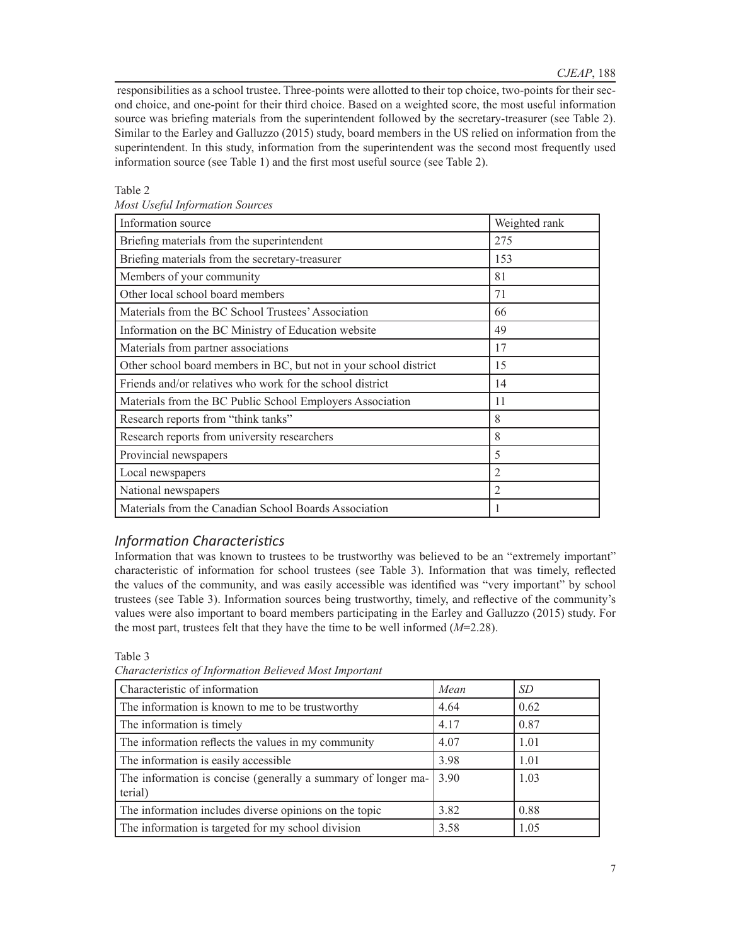responsibilities as a school trustee. Three-points were allotted to their top choice, two-points for their second choice, and one-point for their third choice. Based on a weighted score, the most useful information source was briefing materials from the superintendent followed by the secretary-treasurer (see Table 2). Similar to the Earley and Galluzzo (2015) study, board members in the US relied on information from the superintendent. In this study, information from the superintendent was the second most frequently used information source (see Table 1) and the first most useful source (see Table 2).

# Table 2

| Information source                                                | Weighted rank |
|-------------------------------------------------------------------|---------------|
| Briefing materials from the superintendent                        | 275           |
| Briefing materials from the secretary-treasurer                   | 153           |
| Members of your community                                         | 81            |
| Other local school board members                                  | 71            |
| Materials from the BC School Trustees' Association                | 66            |
| Information on the BC Ministry of Education website               | 49            |
| Materials from partner associations                               | 17            |
| Other school board members in BC, but not in your school district | 15            |
| Friends and/or relatives who work for the school district         | 14            |
| Materials from the BC Public School Employers Association         | 11            |
| Research reports from "think tanks"                               | 8             |
| Research reports from university researchers                      | 8             |
| Provincial newspapers                                             | 5             |
| Local newspapers                                                  | 2             |
| National newspapers                                               | 2             |
| Materials from the Canadian School Boards Association             |               |

*Most Useful Information Sources*

# *Information Characteristics*

Information that was known to trustees to be trustworthy was believed to be an "extremely important" characteristic of information for school trustees (see Table 3). Information that was timely, reflected the values of the community, and was easily accessible was identified was "very important" by school trustees (see Table 3). Information sources being trustworthy, timely, and reflective of the community's values were also important to board members participating in the Earley and Galluzzo (2015) study. For the most part, trustees felt that they have the time to be well informed (*M*=2.28).

# Table 3

| Characteristic of information                                            | Mean | <i>SD</i> |
|--------------------------------------------------------------------------|------|-----------|
| The information is known to me to be trustworthy                         | 4.64 | 0.62      |
| The information is timely                                                | 4.17 | 0.87      |
| The information reflects the values in my community                      | 4.07 | 1.01      |
| The information is easily accessible                                     | 3.98 | 1.01      |
| The information is concise (generally a summary of longer ma-<br>terial) | 3.90 | 1.03      |
| The information includes diverse opinions on the topic                   | 3.82 | 0.88      |
| The information is targeted for my school division                       | 3.58 | 1.05      |

*Characteristics of Information Believed Most Important*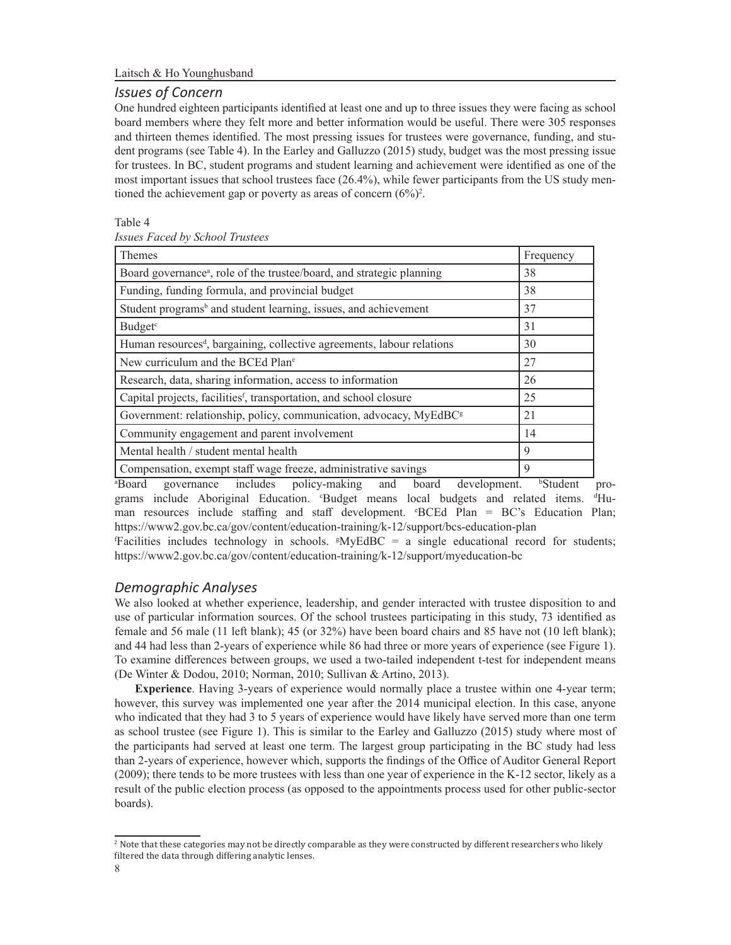# *Issues of Concern*

One hundred eighteen participants identified at least one and up to three issues they were facing as school board members where they felt more and better information would be useful. There were 305 responses and thirteen themes identified. The most pressing issues for trustees were governance, funding, and student programs (see Table 4). In the Earley and Galluzzo (2015) study, budget was the most pressing issue for trustees. In BC, student programs and student learning and achievement were identified as one of the most important issues that school trustees face (26.4%), while fewer participants from the US study mentioned the achievement gap or poverty as areas of concern  $(6\%)^2$ .

### Table 4

*Issues Faced by School Trustees*

| Themes                                                                             | Frequency |
|------------------------------------------------------------------------------------|-----------|
| Board governance <sup>a</sup> , role of the trustee/board, and strategic planning  | 38        |
| Funding, funding formula, and provincial budget                                    | 38        |
| Student programs <sup>b</sup> and student learning, issues, and achievement        | 37        |
| Budget <sup>c</sup>                                                                | 31        |
| Human resources <sup>d</sup> , bargaining, collective agreements, labour relations | 30        |
| New curriculum and the BCEd Plane                                                  | 27        |
| Research, data, sharing information, access to information                         | 26        |
| Capital projects, facilities <sup>f</sup> , transportation, and school closure     | 25        |
| Government: relationship, policy, communication, advocacy, MyEdBC <sup>g</sup>     | 21        |
| Community engagement and parent involvement                                        | 14        |
| Mental health / student mental health                                              | 9         |
| Compensation, exempt staff wage freeze, administrative savings                     | 9         |

<sup>a</sup>Board governance includes policy-making and board development. Student programs include Aboriginal Education. 'Budget means local budgets and related items. <sup>d</sup>Human resources include staffing and staff development. *"BCEd Plan* = BC's Education Plan; https://www2.gov.bc.ca/gov/content/education-training/k-12/support/bcs-education-plan

f Facilities includes technology in schools. <sup>g</sup> MyEdBC = a single educational record for students; https://www2.gov.bc.ca/gov/content/education-training/k-12/support/myeducation-bc

# *Demographic Analyses*

We also looked at whether experience, leadership, and gender interacted with trustee disposition to and use of particular information sources. Of the school trustees participating in this study, 73 identified as female and 56 male (11 left blank); 45 (or 32%) have been board chairs and 85 have not (10 left blank); and 44 had less than 2-years of experience while 86 had three or more years of experience (see Figure 1). To examine differences between groups, we used a two-tailed independent t-test for independent means (De Winter & Dodou, 2010; Norman, 2010; Sullivan & Artino, 2013).

**Experience**. Having 3-years of experience would normally place a trustee within one 4-year term; however, this survey was implemented one year after the 2014 municipal election. In this case, anyone who indicated that they had 3 to 5 years of experience would have likely have served more than one term as school trustee (see Figure 1). This is similar to the Earley and Galluzzo (2015) study where most of the participants had served at least one term. The largest group participating in the BC study had less than 2-years of experience, however which, supports the findings of the Office of Auditor General Report (2009); there tends to be more trustees with less than one year of experience in the K-12 sector, likely as a result of the public election process (as opposed to the appointments process used for other public-sector boards).

<sup>2</sup> Note that these categories may not be directly comparable as they were constructed by different researchers who likely filtered the data through differing analytic lenses.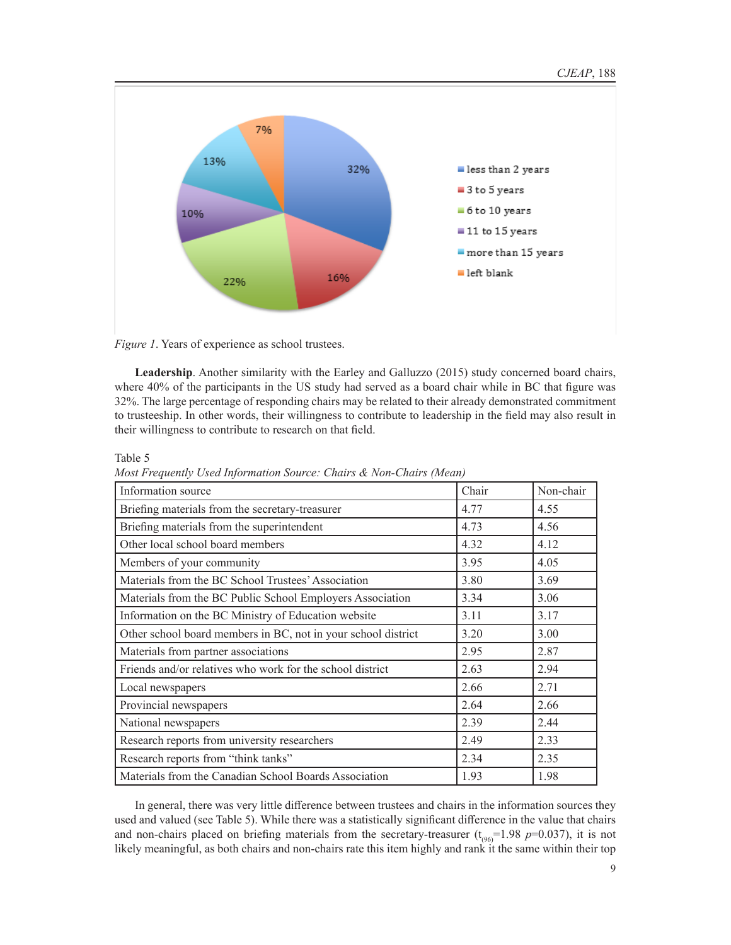

*Figure 1*. Years of experience as school trustees.

**Leadership**. Another similarity with the Earley and Galluzzo (2015) study concerned board chairs, where 40% of the participants in the US study had served as a board chair while in BC that figure was 32%. The large percentage of responding chairs may be related to their already demonstrated commitment to trusteeship. In other words, their willingness to contribute to leadership in the field may also result in their willingness to contribute to research on that field.

Table 5

*Most Frequently Used Information Source: Chairs & Non-Chairs (Mean)*

| Information source                                            | Chair | Non-chair |
|---------------------------------------------------------------|-------|-----------|
| Briefing materials from the secretary-treasurer               | 4.77  | 4.55      |
| Briefing materials from the superintendent                    | 4.73  | 4.56      |
| Other local school board members                              | 4.32  | 4.12      |
| Members of your community                                     | 3.95  | 4.05      |
| Materials from the BC School Trustees' Association            | 3.80  | 3.69      |
| Materials from the BC Public School Employers Association     | 3.34  | 3.06      |
| Information on the BC Ministry of Education website           | 3.11  | 3.17      |
| Other school board members in BC, not in your school district | 3.20  | 3.00      |
| Materials from partner associations                           | 2.95  | 2.87      |
| Friends and/or relatives who work for the school district     | 2.63  | 2.94      |
| Local newspapers                                              | 2.66  | 2.71      |
| Provincial newspapers                                         | 2.64  | 2.66      |
| National newspapers                                           | 2.39  | 2.44      |
| Research reports from university researchers                  | 2.49  | 2.33      |
| Research reports from "think tanks"                           | 2.34  | 2.35      |
| Materials from the Canadian School Boards Association         | 1.93  | 1.98      |

In general, there was very little difference between trustees and chairs in the information sources they used and valued (see Table 5). While there was a statistically significant difference in the value that chairs and non-chairs placed on briefing materials from the secretary-treasurer  $(t_{(96)}=1.98 \text{ p}=0.037)$ , it is not likely meaningful, as both chairs and non-chairs rate this item highly and rank it the same within their top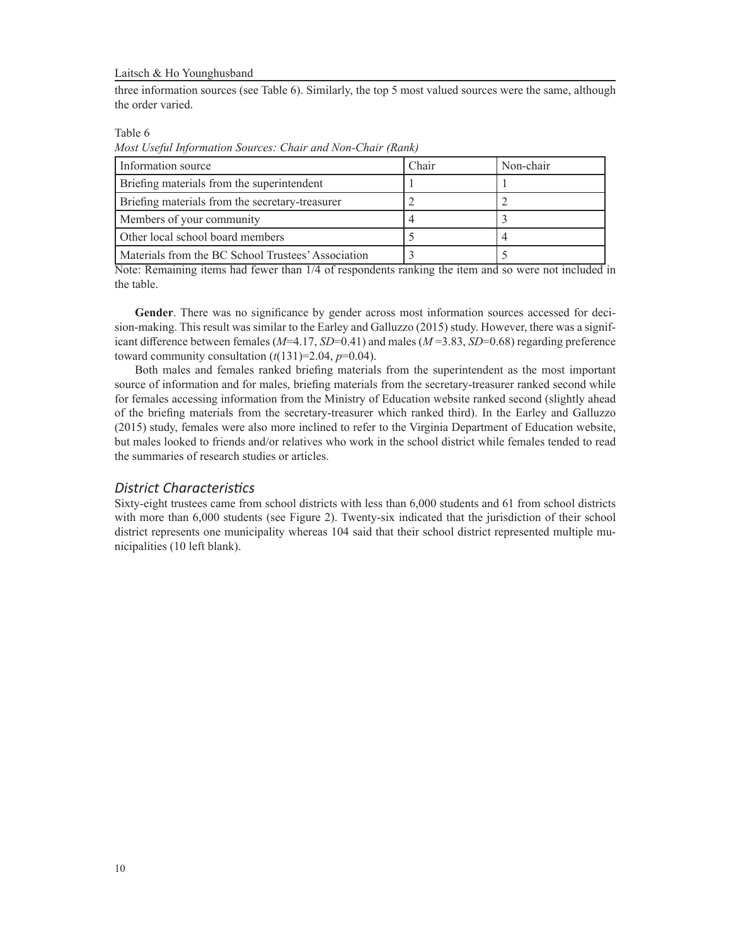three information sources (see Table 6). Similarly, the top 5 most valued sources were the same, although the order varied.

Table 6

*Most Useful Information Sources: Chair and Non-Chair (Rank)*

| Information source                                 | Chair | Non-chair |
|----------------------------------------------------|-------|-----------|
| Briefing materials from the superintendent         |       |           |
| Briefing materials from the secretary-treasurer    |       |           |
| Members of your community                          |       |           |
| Other local school board members                   |       |           |
| Materials from the BC School Trustees' Association |       |           |

Note: Remaining items had fewer than 1/4 of respondents ranking the item and so were not included in the table.

**Gender**. There was no significance by gender across most information sources accessed for decision-making. This result was similar to the Earley and Galluzzo (2015) study. However, there was a significant difference between females (*M*=4.17, *SD*=0.41) and males (*M* =3.83, *SD*=0.68) regarding preference toward community consultation  $(t(131)=2.04, p=0.04)$ .

Both males and females ranked briefing materials from the superintendent as the most important source of information and for males, briefing materials from the secretary-treasurer ranked second while for females accessing information from the Ministry of Education website ranked second (slightly ahead of the briefing materials from the secretary-treasurer which ranked third). In the Earley and Galluzzo (2015) study, females were also more inclined to refer to the Virginia Department of Education website, but males looked to friends and/or relatives who work in the school district while females tended to read the summaries of research studies or articles.

### *District Characteristics*

Sixty-eight trustees came from school districts with less than 6,000 students and 61 from school districts with more than 6,000 students (see Figure 2). Twenty-six indicated that the jurisdiction of their school district represents one municipality whereas 104 said that their school district represented multiple municipalities (10 left blank).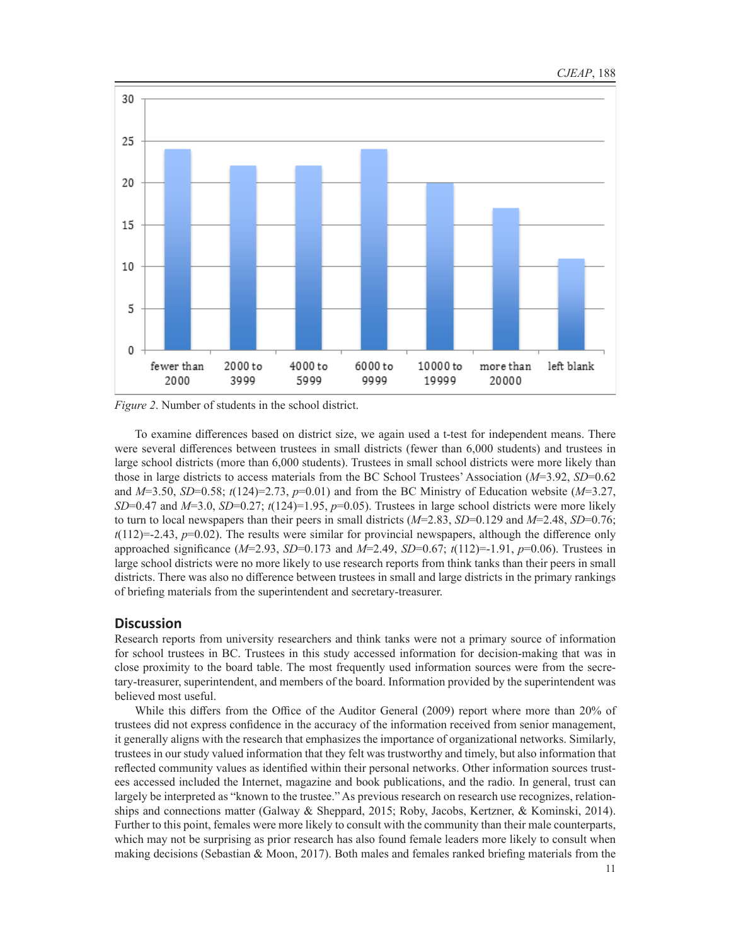

*Figure 2*. Number of students in the school district.

To examine differences based on district size, we again used a t-test for independent means. There were several differences between trustees in small districts (fewer than 6,000 students) and trustees in large school districts (more than 6,000 students). Trustees in small school districts were more likely than those in large districts to access materials from the BC School Trustees' Association (*M*=3.92, *SD*=0.62 and *M*=3.50, *SD*=0.58; *t*(124)=2.73, *p*=0.01) and from the BC Ministry of Education website (*M*=3.27, *SD*=0.47 and *M*=3.0, *SD*=0.27; *t*(124)=1.95, *p*=0.05). Trustees in large school districts were more likely to turn to local newspapers than their peers in small districts (*M*=2.83, *SD*=0.129 and *M*=2.48, *SD*=0.76; *t*(112)=-2.43, *p*=0.02). The results were similar for provincial newspapers, although the difference only approached significance (*M*=2.93, *SD*=0.173 and *M*=2.49, *SD*=0.67; *t*(112)=-1.91, *p*=0.06). Trustees in large school districts were no more likely to use research reports from think tanks than their peers in small districts. There was also no difference between trustees in small and large districts in the primary rankings of briefing materials from the superintendent and secretary-treasurer.

### **Discussion**

Research reports from university researchers and think tanks were not a primary source of information for school trustees in BC. Trustees in this study accessed information for decision-making that was in close proximity to the board table. The most frequently used information sources were from the secretary-treasurer, superintendent, and members of the board. Information provided by the superintendent was believed most useful.

While this differs from the Office of the Auditor General (2009) report where more than 20% of trustees did not express confidence in the accuracy of the information received from senior management, it generally aligns with the research that emphasizes the importance of organizational networks. Similarly, trustees in our study valued information that they felt was trustworthy and timely, but also information that reflected community values as identified within their personal networks. Other information sources trustees accessed included the Internet, magazine and book publications, and the radio. In general, trust can largely be interpreted as "known to the trustee." As previous research on research use recognizes, relationships and connections matter (Galway & Sheppard, 2015; Roby, Jacobs, Kertzner, & Kominski, 2014). Further to this point, females were more likely to consult with the community than their male counterparts, which may not be surprising as prior research has also found female leaders more likely to consult when making decisions (Sebastian & Moon, 2017). Both males and females ranked briefing materials from the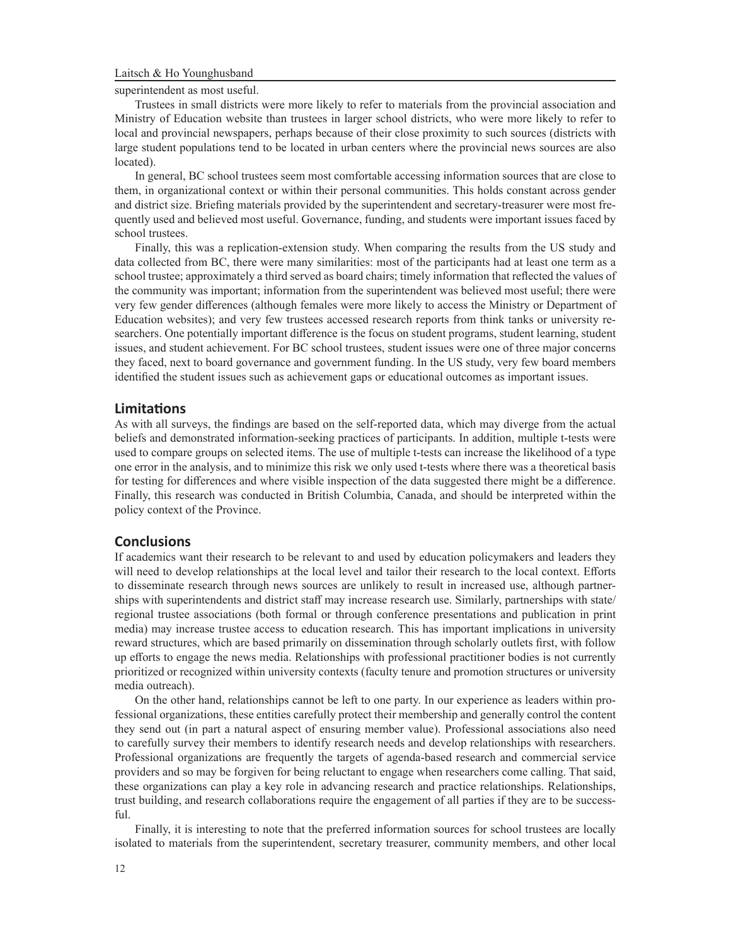superintendent as most useful.

Trustees in small districts were more likely to refer to materials from the provincial association and Ministry of Education website than trustees in larger school districts, who were more likely to refer to local and provincial newspapers, perhaps because of their close proximity to such sources (districts with large student populations tend to be located in urban centers where the provincial news sources are also located).

In general, BC school trustees seem most comfortable accessing information sources that are close to them, in organizational context or within their personal communities. This holds constant across gender and district size. Briefing materials provided by the superintendent and secretary-treasurer were most frequently used and believed most useful. Governance, funding, and students were important issues faced by school trustees.

Finally, this was a replication-extension study. When comparing the results from the US study and data collected from BC, there were many similarities: most of the participants had at least one term as a school trustee; approximately a third served as board chairs; timely information that reflected the values of the community was important; information from the superintendent was believed most useful; there were very few gender differences (although females were more likely to access the Ministry or Department of Education websites); and very few trustees accessed research reports from think tanks or university researchers. One potentially important difference is the focus on student programs, student learning, student issues, and student achievement. For BC school trustees, student issues were one of three major concerns they faced, next to board governance and government funding. In the US study, very few board members identified the student issues such as achievement gaps or educational outcomes as important issues.

### **Limitations**

As with all surveys, the findings are based on the self-reported data, which may diverge from the actual beliefs and demonstrated information-seeking practices of participants. In addition, multiple t-tests were used to compare groups on selected items. The use of multiple t-tests can increase the likelihood of a type one error in the analysis, and to minimize this risk we only used t-tests where there was a theoretical basis for testing for differences and where visible inspection of the data suggested there might be a difference. Finally, this research was conducted in British Columbia, Canada, and should be interpreted within the policy context of the Province.

### **Conclusions**

If academics want their research to be relevant to and used by education policymakers and leaders they will need to develop relationships at the local level and tailor their research to the local context. Efforts to disseminate research through news sources are unlikely to result in increased use, although partnerships with superintendents and district staff may increase research use. Similarly, partnerships with state/ regional trustee associations (both formal or through conference presentations and publication in print media) may increase trustee access to education research. This has important implications in university reward structures, which are based primarily on dissemination through scholarly outlets first, with follow up efforts to engage the news media. Relationships with professional practitioner bodies is not currently prioritized or recognized within university contexts (faculty tenure and promotion structures or university media outreach).

On the other hand, relationships cannot be left to one party. In our experience as leaders within professional organizations, these entities carefully protect their membership and generally control the content they send out (in part a natural aspect of ensuring member value). Professional associations also need to carefully survey their members to identify research needs and develop relationships with researchers. Professional organizations are frequently the targets of agenda-based research and commercial service providers and so may be forgiven for being reluctant to engage when researchers come calling. That said, these organizations can play a key role in advancing research and practice relationships. Relationships, trust building, and research collaborations require the engagement of all parties if they are to be successful.

Finally, it is interesting to note that the preferred information sources for school trustees are locally isolated to materials from the superintendent, secretary treasurer, community members, and other local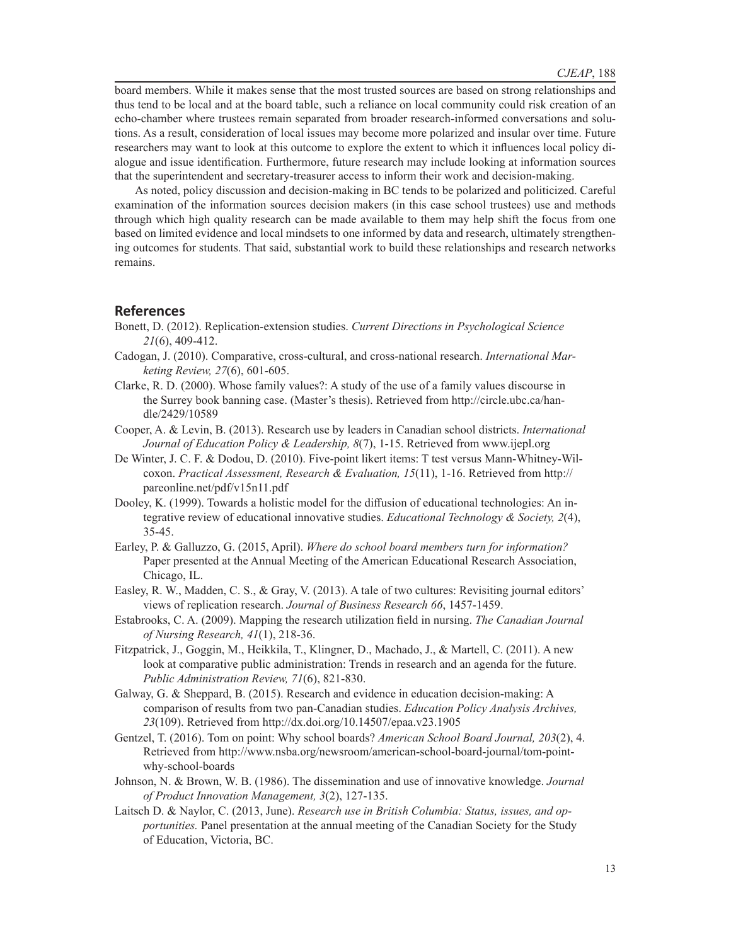board members. While it makes sense that the most trusted sources are based on strong relationships and thus tend to be local and at the board table, such a reliance on local community could risk creation of an echo-chamber where trustees remain separated from broader research-informed conversations and solutions. As a result, consideration of local issues may become more polarized and insular over time. Future researchers may want to look at this outcome to explore the extent to which it influences local policy dialogue and issue identification. Furthermore, future research may include looking at information sources that the superintendent and secretary-treasurer access to inform their work and decision-making.

As noted, policy discussion and decision-making in BC tends to be polarized and politicized. Careful examination of the information sources decision makers (in this case school trustees) use and methods through which high quality research can be made available to them may help shift the focus from one based on limited evidence and local mindsets to one informed by data and research, ultimately strengthening outcomes for students. That said, substantial work to build these relationships and research networks remains.

### **References**

- Bonett, D. (2012). Replication-extension studies. *Current Directions in Psychological Science 21*(6), 409-412.
- Cadogan, J. (2010). Comparative, cross-cultural, and cross-national research. *International Marketing Review, 27*(6), 601-605.
- Clarke, R. D. (2000). Whose family values?: A study of the use of a family values discourse in the Surrey book banning case. (Master's thesis). Retrieved from http://circle.ubc.ca/handle/2429/10589
- Cooper, A. & Levin, B. (2013). Research use by leaders in Canadian school districts. *International Journal of Education Policy & Leadership, 8*(7), 1-15. Retrieved from www.ijepl.org
- De Winter, J. C. F. & Dodou, D. (2010). Five-point likert items: T test versus Mann-Whitney-Wilcoxon. *Practical Assessment, Research & Evaluation, 15*(11), 1-16. Retrieved from http:// pareonline.net/pdf/v15n11.pdf
- Dooley, K. (1999). Towards a holistic model for the diffusion of educational technologies: An integrative review of educational innovative studies. *Educational Technology & Society, 2*(4), 35-45.
- Earley, P. & Galluzzo, G. (2015, April). *Where do school board members turn for information?* Paper presented at the Annual Meeting of the American Educational Research Association, Chicago, IL.
- Easley, R. W., Madden, C. S., & Gray, V. (2013). A tale of two cultures: Revisiting journal editors' views of replication research. *Journal of Business Research 66*, 1457-1459.
- Estabrooks, C. A. (2009). Mapping the research utilization field in nursing. *The Canadian Journal of Nursing Research, 41*(1), 218-36.
- Fitzpatrick, J., Goggin, M., Heikkila, T., Klingner, D., Machado, J., & Martell, C. (2011). A new look at comparative public administration: Trends in research and an agenda for the future. *Public Administration Review, 71*(6), 821-830.
- Galway, G. & Sheppard, B. (2015). Research and evidence in education decision-making: A comparison of results from two pan-Canadian studies. *Education Policy Analysis Archives, 23*(109). Retrieved from http://dx.doi.org/10.14507/epaa.v23.1905
- Gentzel, T. (2016). Tom on point: Why school boards? *American School Board Journal, 203*(2), 4. Retrieved from http://www.nsba.org/newsroom/american-school-board-journal/tom-pointwhy-school-boards
- Johnson, N. & Brown, W. B. (1986). The dissemination and use of innovative knowledge. *Journal of Product Innovation Management, 3*(2), 127-135.
- Laitsch D. & Naylor, C. (2013, June). *Research use in British Columbia: Status, issues, and opportunities.* Panel presentation at the annual meeting of the Canadian Society for the Study of Education, Victoria, BC.